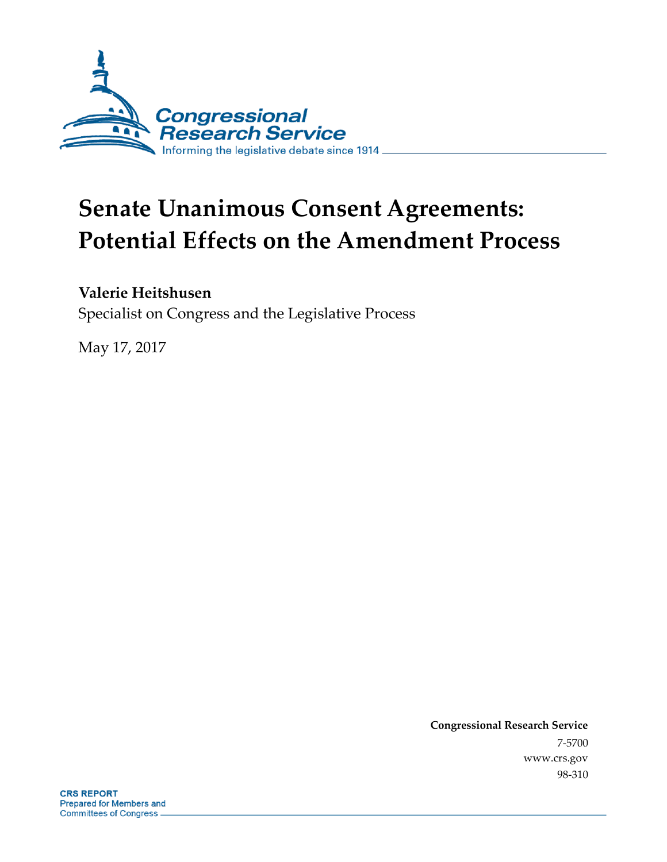

# **Senate Unanimous Consent Agreements: Potential Effects on the Amendment Process**

#### **Valerie Heitshusen**

Specialist on Congress and the Legislative Process

May 17, 2017

**Congressional Research Service** 7-5700 www.crs.gov 98-310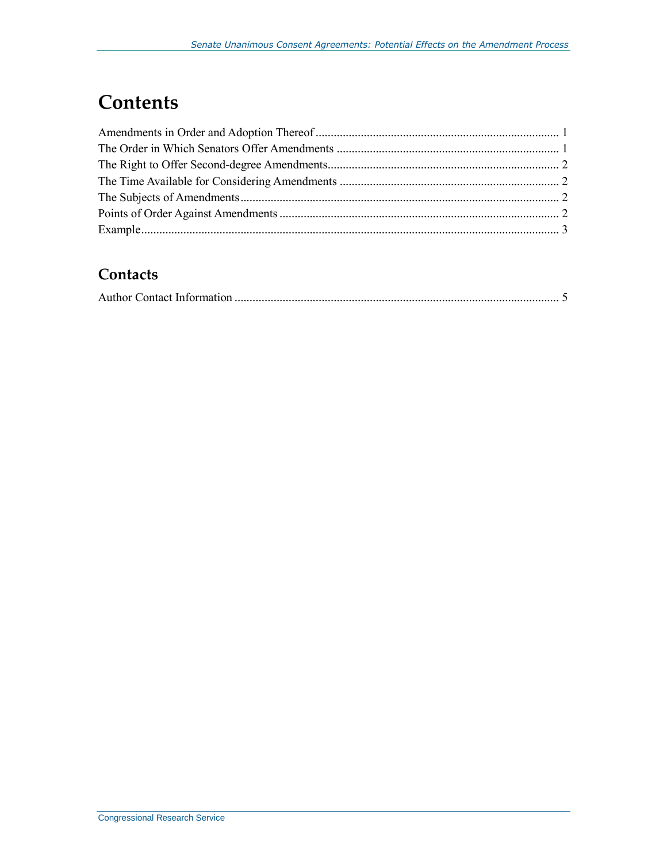## **Contents**

#### **Contacts**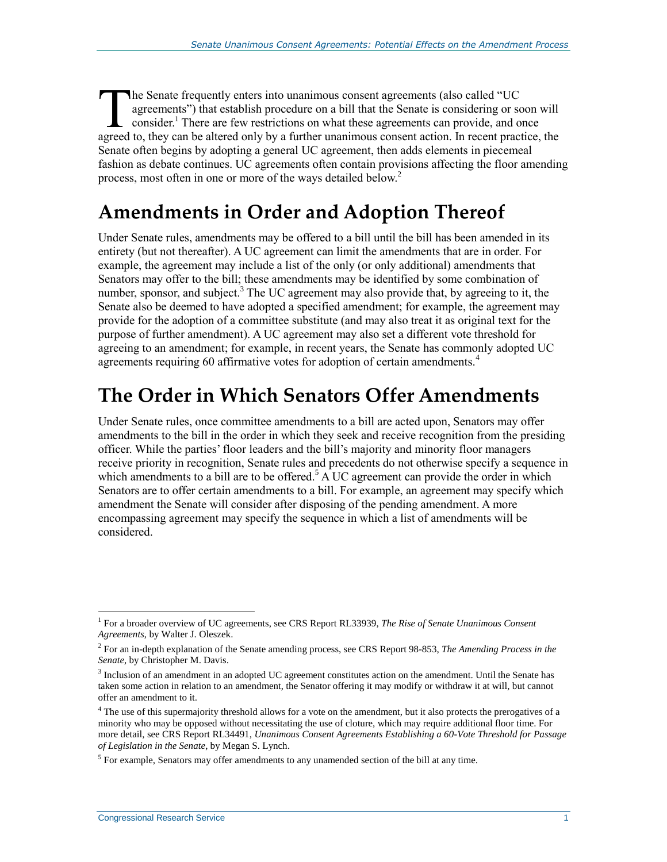he Senate frequently enters into unanimous consent agreements (also called "UC agreements") that establish procedure on a bill that the Senate is considering or soon will consider.<sup>1</sup> There are few restrictions on what these agreements can provide, and once The Senate frequently enters into unanimous consent agreements (also called "UC agreements") that establish procedure on a bill that the Senate is considering or soon will consider.<sup>1</sup> There are few restrictions on what th Senate often begins by adopting a general UC agreement, then adds elements in piecemeal fashion as debate continues. UC agreements often contain provisions affecting the floor amending process, most often in one or more of the ways detailed below.<sup>2</sup>

#### **Amendments in Order and Adoption Thereof**

Under Senate rules, amendments may be offered to a bill until the bill has been amended in its entirety (but not thereafter). A UC agreement can limit the amendments that are in order. For example, the agreement may include a list of the only (or only additional) amendments that Senators may offer to the bill; these amendments may be identified by some combination of number, sponsor, and subject.<sup>3</sup> The UC agreement may also provide that, by agreeing to it, the Senate also be deemed to have adopted a specified amendment; for example, the agreement may provide for the adoption of a committee substitute (and may also treat it as original text for the purpose of further amendment). A UC agreement may also set a different vote threshold for agreeing to an amendment; for example, in recent years, the Senate has commonly adopted UC agreements requiring 60 affirmative votes for adoption of certain amendments.<sup>4</sup>

## **The Order in Which Senators Offer Amendments**

Under Senate rules, once committee amendments to a bill are acted upon, Senators may offer amendments to the bill in the order in which they seek and receive recognition from the presiding officer. While the parties' floor leaders and the bill's majority and minority floor managers receive priority in recognition, Senate rules and precedents do not otherwise specify a sequence in which amendments to a bill are to be offered.<sup>5</sup> A UC agreement can provide the order in which Senators are to offer certain amendments to a bill. For example, an agreement may specify which amendment the Senate will consider after disposing of the pending amendment. A more encompassing agreement may specify the sequence in which a list of amendments will be considered.

 $\overline{a}$ 

<sup>&</sup>lt;sup>1</sup> For a broader overview of UC agreements, see CRS Report RL33939, *The Rise of Senate Unanimous Consent Agreements*, by Walter J. Oleszek.

<sup>2</sup> For an in-depth explanation of the Senate amending process, see CRS Report 98-853, *The Amending Process in the Senate*, by Christopher M. Davis.

<sup>&</sup>lt;sup>3</sup> Inclusion of an amendment in an adopted UC agreement constitutes action on the amendment. Until the Senate has taken some action in relation to an amendment, the Senator offering it may modify or withdraw it at will, but cannot offer an amendment to it.

<sup>&</sup>lt;sup>4</sup> The use of this supermajority threshold allows for a vote on the amendment, but it also protects the prerogatives of a minority who may be opposed without necessitating the use of cloture, which may require additional floor time. For more detail, see CRS Report RL34491, *Unanimous Consent Agreements Establishing a 60-Vote Threshold for Passage of Legislation in the Senate*, by Megan S. Lynch.

 $<sup>5</sup>$  For example, Senators may offer amendments to any unamended section of the bill at any time.</sup>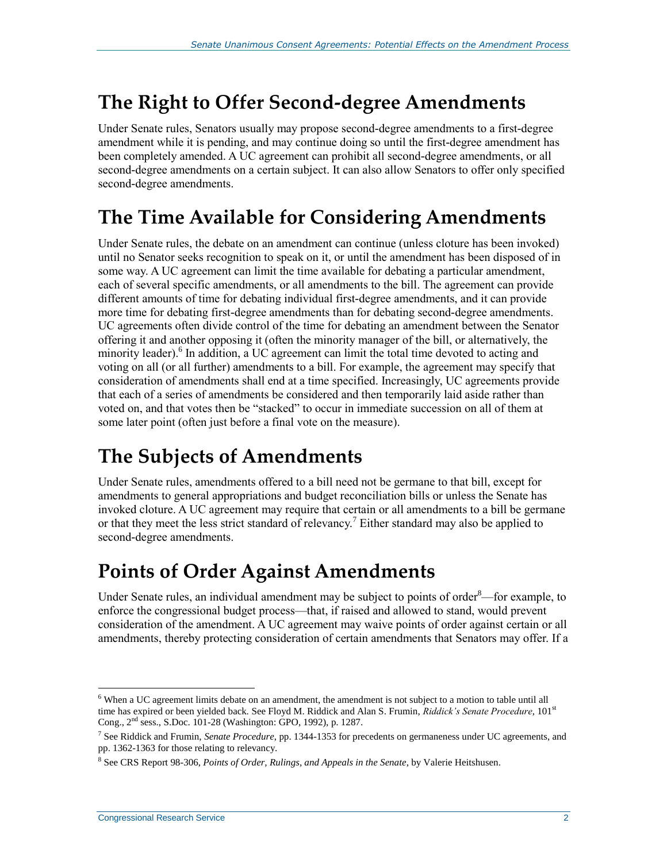### **The Right to Offer Second-degree Amendments**

Under Senate rules, Senators usually may propose second-degree amendments to a first-degree amendment while it is pending, and may continue doing so until the first-degree amendment has been completely amended. A UC agreement can prohibit all second-degree amendments, or all second-degree amendments on a certain subject. It can also allow Senators to offer only specified second-degree amendments.

### **The Time Available for Considering Amendments**

Under Senate rules, the debate on an amendment can continue (unless cloture has been invoked) until no Senator seeks recognition to speak on it, or until the amendment has been disposed of in some way. A UC agreement can limit the time available for debating a particular amendment, each of several specific amendments, or all amendments to the bill. The agreement can provide different amounts of time for debating individual first-degree amendments, and it can provide more time for debating first-degree amendments than for debating second-degree amendments. UC agreements often divide control of the time for debating an amendment between the Senator offering it and another opposing it (often the minority manager of the bill, or alternatively, the minority leader).<sup>6</sup> In addition, a UC agreement can limit the total time devoted to acting and voting on all (or all further) amendments to a bill. For example, the agreement may specify that consideration of amendments shall end at a time specified. Increasingly, UC agreements provide that each of a series of amendments be considered and then temporarily laid aside rather than voted on, and that votes then be "stacked" to occur in immediate succession on all of them at some later point (often just before a final vote on the measure).

### **The Subjects of Amendments**

Under Senate rules, amendments offered to a bill need not be germane to that bill, except for amendments to general appropriations and budget reconciliation bills or unless the Senate has invoked cloture. A UC agreement may require that certain or all amendments to a bill be germane or that they meet the less strict standard of relevancy.<sup>7</sup> Either standard may also be applied to second-degree amendments.

### **Points of Order Against Amendments**

Under Senate rules, an individual amendment may be subject to points of order $-$ for example, to enforce the congressional budget process—that, if raised and allowed to stand, would prevent consideration of the amendment. A UC agreement may waive points of order against certain or all amendments, thereby protecting consideration of certain amendments that Senators may offer. If a

 $\overline{a}$  $6$  When a UC agreement limits debate on an amendment, the amendment is not subject to a motion to table until all time has expired or been yielded back. See Floyd M. Riddick and Alan S. Frumin, *Riddick's Senate Procedure*, 101st Cong., 2nd sess., S.Doc. 101-28 (Washington: GPO, 1992), p. 1287.

<sup>7</sup> See Riddick and Frumin, *Senate Procedure*, pp. 1344-1353 for precedents on germaneness under UC agreements, and pp. 1362-1363 for those relating to relevancy.

<sup>8</sup> See CRS Report 98-306, *Points of Order, Rulings, and Appeals in the Senate*, by Valerie Heitshusen.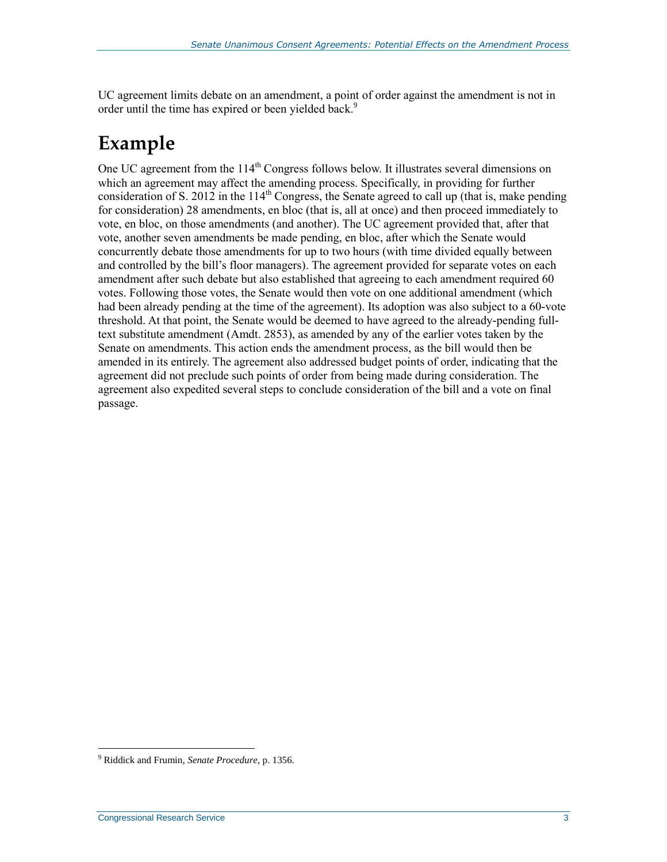UC agreement limits debate on an amendment, a point of order against the amendment is not in order until the time has expired or been yielded back.<sup>9</sup>

# **Example**

One UC agreement from the 114<sup>th</sup> Congress follows below. It illustrates several dimensions on which an agreement may affect the amending process. Specifically, in providing for further consideration of S. 2012 in the 114<sup>th</sup> Congress, the Senate agreed to call up (that is, make pending for consideration) 28 amendments, en bloc (that is, all at once) and then proceed immediately to vote, en bloc, on those amendments (and another). The UC agreement provided that, after that vote, another seven amendments be made pending, en bloc, after which the Senate would concurrently debate those amendments for up to two hours (with time divided equally between and controlled by the bill's floor managers). The agreement provided for separate votes on each amendment after such debate but also established that agreeing to each amendment required 60 votes. Following those votes, the Senate would then vote on one additional amendment (which had been already pending at the time of the agreement). Its adoption was also subject to a 60-vote threshold. At that point, the Senate would be deemed to have agreed to the already-pending fulltext substitute amendment (Amdt. 2853), as amended by any of the earlier votes taken by the Senate on amendments. This action ends the amendment process, as the bill would then be amended in its entirely. The agreement also addressed budget points of order, indicating that the agreement did not preclude such points of order from being made during consideration. The agreement also expedited several steps to conclude consideration of the bill and a vote on final passage.

 $\overline{a}$ 

<sup>9</sup> Riddick and Frumin, *Senate Procedure*, p. 1356.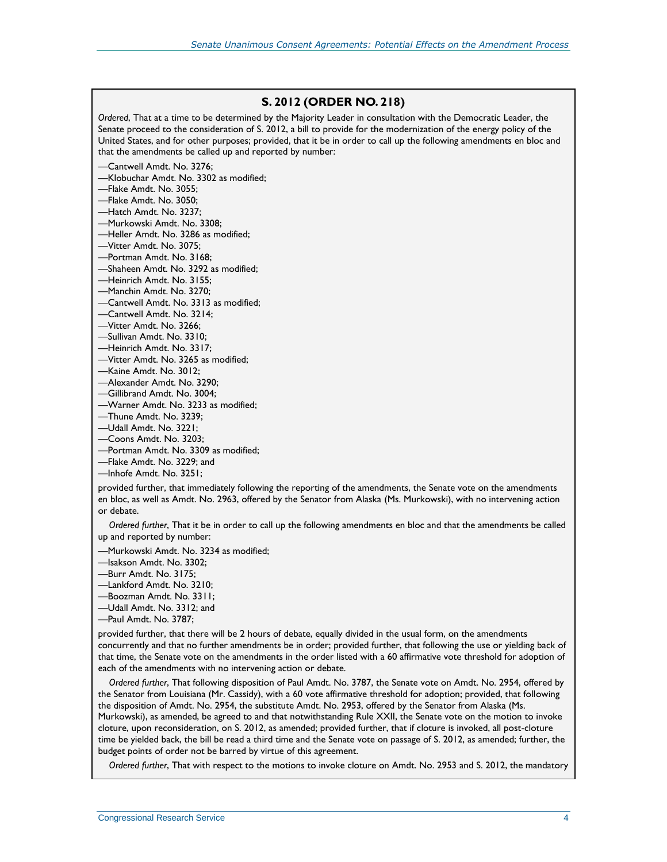#### **[S. 2012](http://www.congress.gov/cgi-lis/bdquery/z?d114:S.2012:) (ORDER NO. 218)**

*Ordered*, That at a time to be determined by the Majority Leader in consultation with the Democratic Leader, the Senate proceed to the consideration of S. 2012, a bill to provide for the modernization of the energy policy of the United States, and for other purposes; provided, that it be in order to call up the following amendments en bloc and that the amendments be called up and reported by number:

—Cantwell Amdt. No. 3276;

—Klobuchar Amdt. No. 3302 as modified;

—Flake Amdt. No. 3055;

—Flake Amdt. No. 3050;

—Hatch Amdt. No. 3237;

—Murkowski Amdt. No. 3308;

—Heller Amdt. No. 3286 as modified;

—Vitter Amdt. No. 3075;

—Portman Amdt. No. 3168;

—Shaheen Amdt. No. 3292 as modified;

—Heinrich Amdt. No. 3155;

—Manchin Amdt. No. 3270;

—Cantwell Amdt. No. 3313 as modified;

—Cantwell Amdt. No. 3214;

—Vitter Amdt. No. 3266;

—Sullivan Amdt. No. 3310;

—Heinrich Amdt. No. 3317;

—Vitter Amdt. No. 3265 as modified;

—Kaine Amdt. No. 3012;

—Alexander Amdt. No. 3290;

—Gillibrand Amdt. No. 3004;

—Warner Amdt. No. 3233 as modified;

—Thune Amdt. No. 3239;

—Udall Amdt. No. 3221;

—Coons Amdt. No. 3203;

—Portman Amdt. No. 3309 as modified;

—Flake Amdt. No. 3229; and

—Inhofe Amdt. No. 3251;

provided further, that immediately following the reporting of the amendments, the Senate vote on the amendments en bloc, as well as Amdt. No. 2963, offered by the Senator from Alaska (Ms. Murkowski), with no intervening action or debate.

 *Ordered further*, That it be in order to call up the following amendments en bloc and that the amendments be called up and reported by number:

—Murkowski Amdt. No. 3234 as modified;

—Isakson Amdt. No. 3302;

—Burr Amdt. No. 3175;

—Lankford Amdt. No. 3210;

—Boozman Amdt. No. 3311;

—Udall Amdt. No. 3312; and

—Paul Amdt. No. 3787;

provided further, that there will be 2 hours of debate, equally divided in the usual form, on the amendments concurrently and that no further amendments be in order; provided further, that following the use or yielding back of that time, the Senate vote on the amendments in the order listed with a 60 affirmative vote threshold for adoption of each of the amendments with no intervening action or debate.

 *Ordered further*, That following disposition of Paul Amdt. No. 3787, the Senate vote on Amdt. No. 2954, offered by the Senator from Louisiana (Mr. Cassidy), with a 60 vote affirmative threshold for adoption; provided, that following the disposition of Amdt. No. 2954, the substitute Amdt. No. 2953, offered by the Senator from Alaska (Ms. Murkowski), as amended, be agreed to and that notwithstanding Rule XXII, the Senate vote on the motion to invoke cloture, upon reconsideration, on S. 2012, as amended; provided further, that if cloture is invoked, all post-cloture time be yielded back, the bill be read a third time and the Senate vote on passage of S. 2012, as amended; further, the budget points of order not be barred by virtue of this agreement.

*Ordered further*, That with respect to the motions to invoke cloture on Amdt. No. 2953 and S. 2012, the mandatory